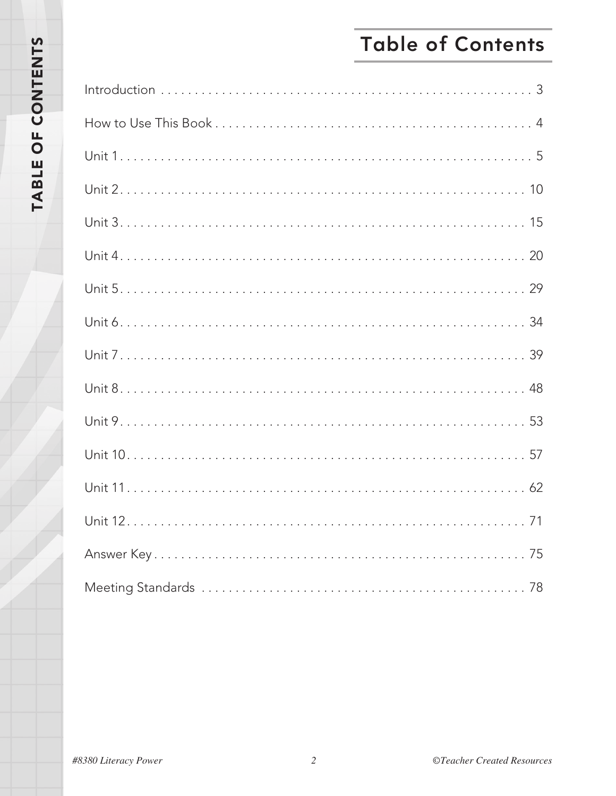# **Table of Contents**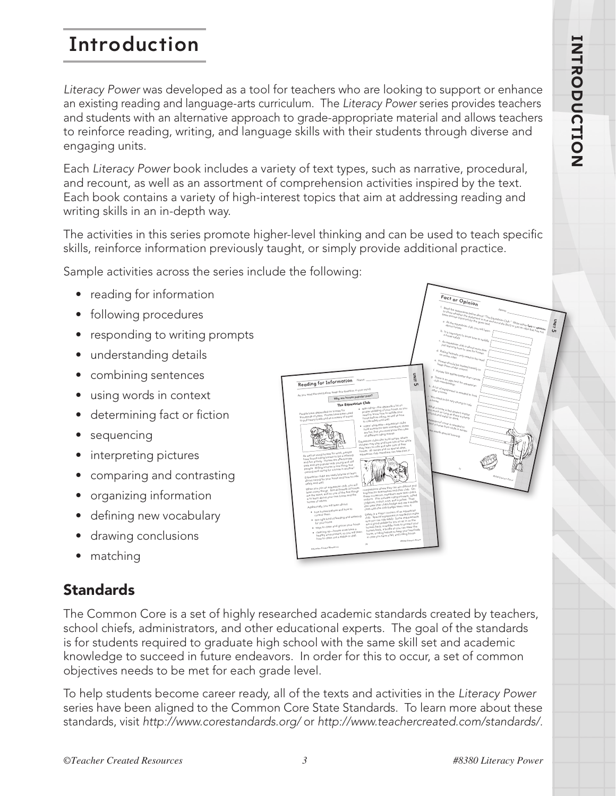## Introduction

*Literacy Power* was developed as a tool for teachers who are looking to support or enhance an existing reading and language-arts curriculum. The *Literacy Power* series provides teachers and students with an alternative approach to grade-appropriate material and allows teachers to reinforce reading, writing, and language skills with their students through diverse and engaging units.

Each *Literacy Power* book includes a variety of text types, such as narrative, procedural, and recount, as well as an assortment of comprehension activities inspired by the text. Each book contains a variety of high-interest topics that aim at addressing reading and writing skills in an in-depth way.

The activities in this series promote higher-level thinking and can be used to teach specific skills, reinforce information previously taught, or simply provide additional practice.

Name:

• safe riding—this depends a lot on cate now gradding of your horse, so you proper securities how to saddle your horse before riding, as well as how to ride safely and well to riders' etiquette—equestrian clubs hold events for their members; these<br>hold events for their members; these hold events for the rules.<br>are fun, but you must know the rules of different riding events Equestrian clubs also hold camps, where<br>Equestrian clubs also have lots of fun wh Equestrian clubs also rious costs of fun while<br>children may stay and have lots of their hildren may stey end take care of their<br>they learn to ride and take care of their they learn to nue and on special days,<br>horses. At camps and on special days, porses. At camps and can take part in

competitions where they can win ribbons and competitions where they<br>trophies for themselves and their club. On trophies for themse was sitted their club's<br>these occasions, members wear their called these accasions, memuers was called<br>uniform. This includes riding trousers, called uniform. This includes, and a jacket. They<br>jodphurs, a shirt, a tie, and a jacket. They odphurs, a shirt, a tie, and when use a saddle<br>also wear their club's badge and use a saddle also wear their club badge sewn onto it. Safety is a major concern of an equestrian Safety is a major concern is needed to make<br>club. Special equipment is needed to make dub. Special equipments<br>sure you can ride safely. Some requirements <sub>pul</sub>re you can ride sawny<br>are a good saddle for you to sit in on the are a good saddle cloth to protect your<br>horse's back, a saddle cloth to protect the horse's back, a sadge court can steer the<br>horse's back, a bridle so you can steer the horse, a riding helmet to keep your head safe horse, a riding herm fall, and riding boots.<br>In case you have a fall, and riding boots.

Reading for Information As you read the text below, keep this question in your mind Why are horses popular pets? The Equestrian Club

People have depended on horses for People have depended on home<br>thousands of years. Horses have been used thousands of years. Hoise incans of travel.<br>to pull heavy loads and as a means of travel.

As well as using horses for work, people <sub>have</sub> well as using notations to be a relaxing<br><sub>have</sub> found riding horses to be a relaxing have found mainter are affectionate<br>and fun activity. Horses are affectionate and fun activity. Horses are municipand old<br>pets and are popular with young and old pets and are popularise is one thing, but<br>people. Riding a horse is one thing, but people. Riding a norse is another!<br>owning and caring for a horse is another! Equestrian clubs are useful places to learn Equestrian clubs are useful prior to ride<br>about caring for your horse and how to ride safely and well. sarely end ....<br>When you join an equestrian club, you will<br>When you join an equestrian club, you will Nhen you join an equation breeds of horses.<br>learn many things. Not all breeds of horses earn many things.<br>are the same, and so one of the first things are the same, and so one.<br>is to learn about your own horse and the horses of others. Additionally, you will learn about: • how horses behave and how to <sub>control</sub> them the right kind of feeding and watering for your horse ways to clean and groom your horse • cleaning up—horses must have a healthy environment, so you will learn healthy environme a stable or stall<br>how to clean out a stable or stall

*©Teacher Created Resources <sup>29</sup>#8380 Literacy Power*

Sample activities across the series include the following:

- reading for information
- following procedures
- responding to writing prompts
- understanding details
- combining sentences
- using words in context
- determining fact or fiction
- sequencing
- interpreting pictures
- • comparing and contrasting
- organizing information
- defining new vocabulary
- drawing conclusions
- matching

#### **Standards**

The Common Core is a set of highly researched academic standards created by teachers, school chiefs, administrators, and other educational experts. The goal of the standards is for students required to graduate high school with the same skill set and academic knowledge to succeed in future endeavors. In order for this to occur, a set of common objectives needs to be met for each grade level.

To help students become career ready, all of the texts and activities in the *Literacy Power*  series have been aligned to the Common Core State Standards. To learn more about these standards, visit *http://www.corestandards.org/* or *http://www.teachercreated.com/standards/.*

Name:

1. Read the statements below about "The Equipment"<br>1. Deby about the statements buyer The Equation Club. "While other fact or opinion<br>8. A the squares fact or opinion Equestrian Club." Write other fact or opinion<br>4. About to show whether the statewebour -The Experiment -<br>homoground is true and accurate is true and accurate (fact) or just anticrease or opinion<br>A. At the scatement is true and accurate (fact) or just and incomplete<br>- double fa

*©Teacher Created Resources 31 #8380 Literacy Power*

Fact or Opinion

on some rides. e. Horses should be treated harshly to<br>- keep them under control harshly to keep them under contr<br>, f. Horses like apples better than carr<br>There is a

**UNIT**  $\overline{G}$ 

g. There is an age limit for equestrian <sup>club</sup> membership.<br>. h. A lot of equipment is needed to look<br>ofter a horse.<br>Y. after a horse. i. You need to be very strong to ride<br>a horse,<br>\*\*\* a horse. What a horse is fed doesn't matter<br>too much so long as there is matter too much so long as there is natter<br>of food and water to drink is plenty<br>... of food and water to drink waterpr  $\blacksquare$ 

oof cover is needed to<br><sup>1018e from chili</sup> otect a horse from chills in winter.<br>The news lite needs special training.

been proven (opinion) by the given text.<br>6. At the equinon) by the given text.<br>6. At the equinon a. At the equestrian club, you will learn<br>about horses.<br>h = . about horses. b. It is important to know how to saddle<br>a horse safely.<br>Aa horse safely. c. An equestrian club is about more than<br>Just learning how to care for more than<br>Pr. . just learning how to car<br>and the sing how to car d. Riding helmets only need to be used<br>on some rides, only need to be used<br>H= e for horses.

ots.

**UNIT**  $\sigma$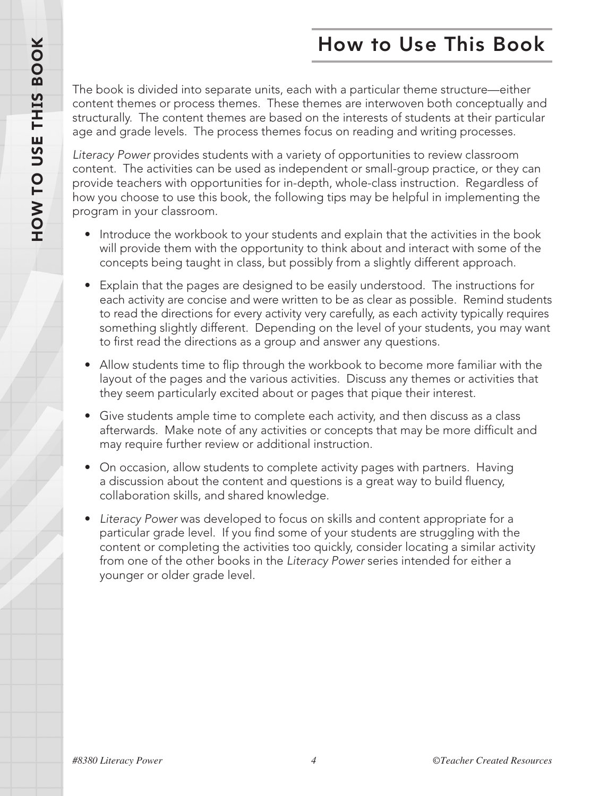# How to Use This Book

The book is divided into separate units, each with a particular theme structure—either content themes or process themes. These themes are interwoven both conceptually and structurally. The content themes are based on the interests of students at their particular age and grade levels. The process themes focus on reading and writing processes.

*Literacy Power* provides students with a variety of opportunities to review classroom content. The activities can be used as independent or small-group practice, or they can provide teachers with opportunities for in-depth, whole-class instruction. Regardless of how you choose to use this book, the following tips may be helpful in implementing the program in your classroom.

- Introduce the workbook to your students and explain that the activities in the book will provide them with the opportunity to think about and interact with some of the concepts being taught in class, but possibly from a slightly different approach.
- Explain that the pages are designed to be easily understood. The instructions for each activity are concise and were written to be as clear as possible. Remind students to read the directions for every activity very carefully, as each activity typically requires something slightly different. Depending on the level of your students, you may want to first read the directions as a group and answer any questions.
- Allow students time to flip through the workbook to become more familiar with the layout of the pages and the various activities. Discuss any themes or activities that they seem particularly excited about or pages that pique their interest.
- Give students ample time to complete each activity, and then discuss as a class afterwards. Make note of any activities or concepts that may be more difficult and may require further review or additional instruction.
- On occasion, allow students to complete activity pages with partners. Having a discussion about the content and questions is a great way to build fluency, collaboration skills, and shared knowledge.
- *Literacy Power* was developed to focus on skills and content appropriate for a particular grade level. If you find some of your students are struggling with the content or completing the activities too quickly, consider locating a similar activity from one of the other books in the *Literacy Power* series intended for either a younger or older grade level.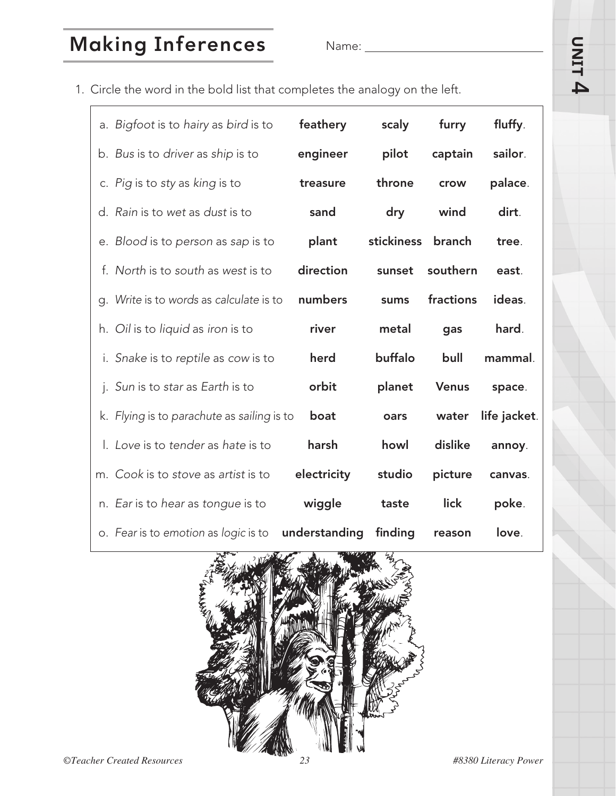### **Making Inferences** Name:

- **UNIT**  $\blacktriangle$
- 1. Circle the word in the bold list that completes the analogy on the left.

| a. Bigfoot is to hairy as bird is to       | feathery      | scaly      | furry        | fluffy.      |
|--------------------------------------------|---------------|------------|--------------|--------------|
| b. Bus is to driver as ship is to          | engineer      | pilot      | captain      | sailor.      |
| c. Pig is to sty as king is to             | treasure      | throne     | crow         | palace.      |
| d. Rain is to wet as dust is to            | sand          | dry        | wind         | dirt.        |
| e. Blood is to person as sap is to         | plant         | stickiness | branch       | tree.        |
| f. North is to south as west is to         | direction     | sunset     | southern     | east.        |
| g. Write is to words as calculate is to    | numbers       | sums       | fractions    | ideas.       |
| h. Oil is to liquid as iron is to          | river         | metal      | gas          | hard.        |
| i. Snake is to reptile as cow is to        | herd          | buffalo    | bull         | mammal.      |
| j. Sun is to star as Earth is to           | orbit         | planet     | <b>Venus</b> | space.       |
| k. Flying is to parachute as sailing is to | boat          | oars       | water        | life jacket. |
| I. Love is to tender as hate is to         | harsh         | howl       | dislike      | annoy.       |
| m. Cook is to stove as artist is to        | electricity   | studio     | picture      | canvas.      |
| n. Ear is to hear as tongue is to          | wiggle        | taste      | lick         | poke.        |
| o. Fear is to emotion as logic is to       | understanding | finding    | reason       | love.        |



*©Teacher Created Resources 23 #8380 Literacy Power*